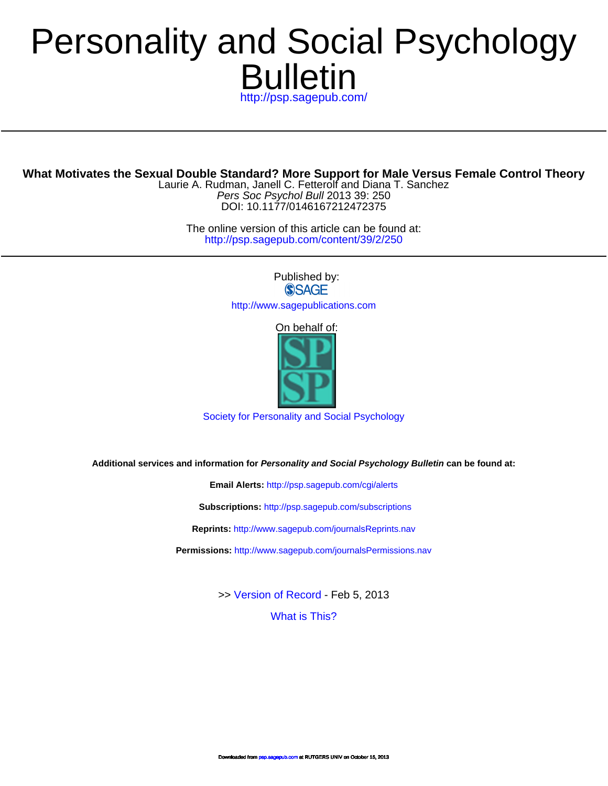# Bulletin Personality and Social Psychology

<http://psp.sagepub.com/>

**What Motivates the Sexual Double Standard? More Support for Male Versus Female Control Theory**

DOI: 10.1177/0146167212472375 Pers Soc Psychol Bull 2013 39: 250 Laurie A. Rudman, Janell C. Fetterolf and Diana T. Sanchez

<http://psp.sagepub.com/content/39/2/250> The online version of this article can be found at:

> Published by:<br>
> SAGE <http://www.sagepublications.com>

> > On behalf of:



[Society for Personality and Social Psychology](http://www.spsp.org/)

**Additional services and information for Personality and Social Psychology Bulletin can be found at:**

**Email Alerts:** <http://psp.sagepub.com/cgi/alerts>

**Subscriptions:** <http://psp.sagepub.com/subscriptions>

**Reprints:** <http://www.sagepub.com/journalsReprints.nav>

**Permissions:** <http://www.sagepub.com/journalsPermissions.nav>

>> [Version of Record -](http://psp.sagepub.com/content/39/2/250.full.pdf) Feb 5, 2013

[What is This?](http://online.sagepub.com/site/sphelp/vorhelp.xhtml)

od from [psp.sagepub.com](http://psp.sagepub.com/) at RUTGERS UNIV on October 16, 2013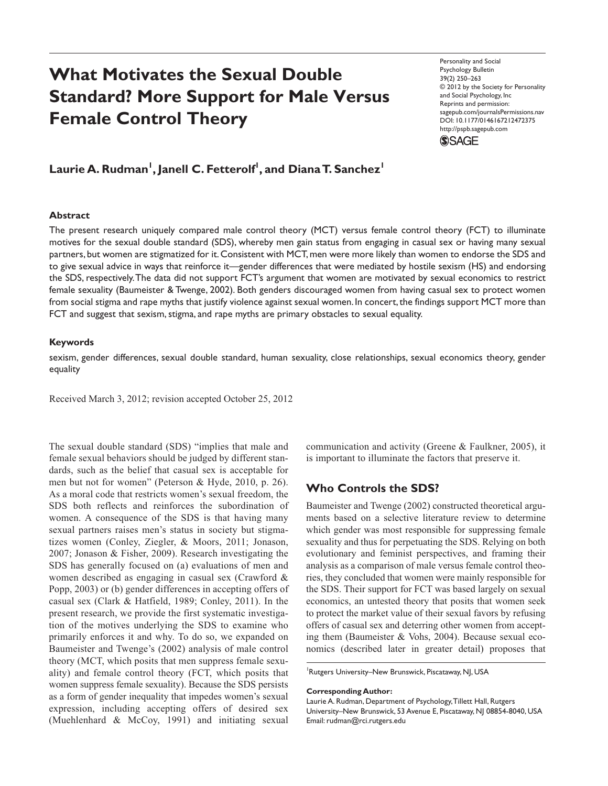# **What Motivates the Sexual Double Standard? More Support for Male Versus Female Control Theory**

Personality and Social Psychology Bulletin 39(2) 250–263 © 2012 by the Society for Personality and Social Psychology, Inc Reprints and permission: sagepub.com/journalsPermissions.nav DOI: 10.1177/0146167212472375 http://pspb.sagepub.com

**SSAGE** 

 $\mathsf{Laurie}\ \mathsf{A}.\ \mathsf{Rudman}^!$  , Janell  $\mathsf{C}.\ \mathsf{Fetterolf}^!$  , and  $\mathsf{Diana}\ \mathsf{T}.\ \mathsf{Sanchez}^!$ 

# **Abstract**

The present research uniquely compared male control theory (MCT) versus female control theory (FCT) to illuminate motives for the sexual double standard (SDS), whereby men gain status from engaging in casual sex or having many sexual partners, but women are stigmatized for it. Consistent with MCT, men were more likely than women to endorse the SDS and to give sexual advice in ways that reinforce it—gender differences that were mediated by hostile sexism (HS) and endorsing the SDS, respectively. The data did not support FCT's argument that women are motivated by sexual economics to restrict female sexuality (Baumeister & Twenge, 2002). Both genders discouraged women from having casual sex to protect women from social stigma and rape myths that justify violence against sexual women. In concert, the findings support MCT more than FCT and suggest that sexism, stigma, and rape myths are primary obstacles to sexual equality.

#### **Keywords**

sexism, gender differences, sexual double standard, human sexuality, close relationships, sexual economics theory, gender equality

Received March 3, 2012; revision accepted October 25, 2012

The sexual double standard (SDS) "implies that male and female sexual behaviors should be judged by different standards, such as the belief that casual sex is acceptable for men but not for women" (Peterson & Hyde, 2010, p. 26). As a moral code that restricts women's sexual freedom, the SDS both reflects and reinforces the subordination of women. A consequence of the SDS is that having many sexual partners raises men's status in society but stigmatizes women (Conley, Ziegler, & Moors, 2011; Jonason, 2007; Jonason & Fisher, 2009). Research investigating the SDS has generally focused on (a) evaluations of men and women described as engaging in casual sex (Crawford & Popp, 2003) or (b) gender differences in accepting offers of casual sex (Clark & Hatfield, 1989; Conley, 2011). In the present research, we provide the first systematic investigation of the motives underlying the SDS to examine who primarily enforces it and why. To do so, we expanded on Baumeister and Twenge's (2002) analysis of male control theory (MCT, which posits that men suppress female sexuality) and female control theory (FCT, which posits that women suppress female sexuality). Because the SDS persists as a form of gender inequality that impedes women's sexual expression, including accepting offers of desired sex (Muehlenhard & McCoy, 1991) and initiating sexual

communication and activity (Greene & Faulkner, 2005), it is important to illuminate the factors that preserve it.

# **Who Controls the SDS?**

Baumeister and Twenge (2002) constructed theoretical arguments based on a selective literature review to determine which gender was most responsible for suppressing female sexuality and thus for perpetuating the SDS. Relying on both evolutionary and feminist perspectives, and framing their analysis as a comparison of male versus female control theories, they concluded that women were mainly responsible for the SDS. Their support for FCT was based largely on sexual economics, an untested theory that posits that women seek to protect the market value of their sexual favors by refusing offers of casual sex and deterring other women from accepting them (Baumeister & Vohs, 2004). Because sexual economics (described later in greater detail) proposes that

<sup>1</sup>Rutgers University–New Brunswick, Piscataway, NJ, USA

#### **Corresponding Author:**

Laurie A. Rudman, Department of Psychology, Tillett Hall, Rutgers University–New Brunswick, 53 Avenue E, Piscataway, NJ 08854-8040, USA Email: rudman@rci.rutgers.edu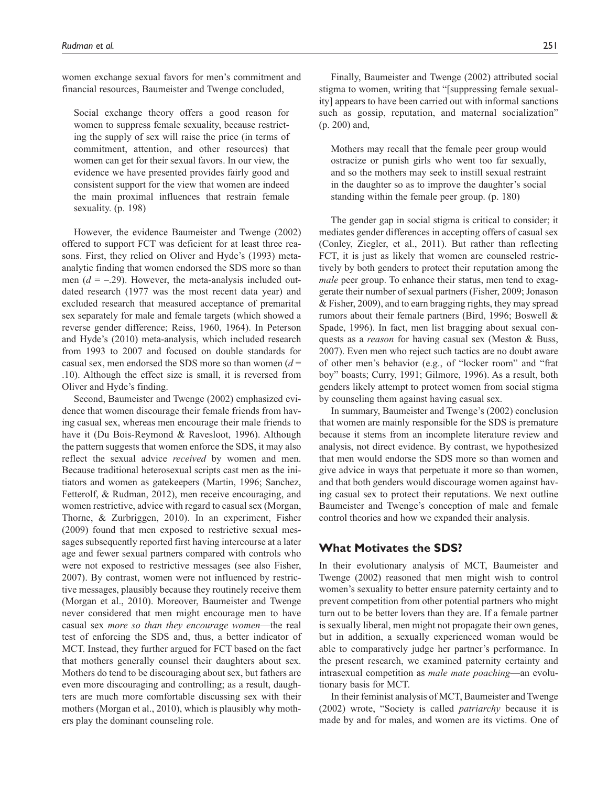women exchange sexual favors for men's commitment and financial resources, Baumeister and Twenge concluded,

Social exchange theory offers a good reason for women to suppress female sexuality, because restricting the supply of sex will raise the price (in terms of commitment, attention, and other resources) that women can get for their sexual favors. In our view, the evidence we have presented provides fairly good and consistent support for the view that women are indeed the main proximal influences that restrain female sexuality. (p. 198)

However, the evidence Baumeister and Twenge (2002) offered to support FCT was deficient for at least three reasons. First, they relied on Oliver and Hyde's (1993) metaanalytic finding that women endorsed the SDS more so than men  $(d = -0.29)$ . However, the meta-analysis included outdated research (1977 was the most recent data year) and excluded research that measured acceptance of premarital sex separately for male and female targets (which showed a reverse gender difference; Reiss, 1960, 1964). In Peterson and Hyde's (2010) meta-analysis, which included research from 1993 to 2007 and focused on double standards for casual sex, men endorsed the SDS more so than women  $(d =$ .10). Although the effect size is small, it is reversed from Oliver and Hyde's finding.

Second, Baumeister and Twenge (2002) emphasized evidence that women discourage their female friends from having casual sex, whereas men encourage their male friends to have it (Du Bois-Reymond & Ravesloot, 1996). Although the pattern suggests that women enforce the SDS, it may also reflect the sexual advice *received* by women and men. Because traditional heterosexual scripts cast men as the initiators and women as gatekeepers (Martin, 1996; Sanchez, Fetterolf, & Rudman, 2012), men receive encouraging, and women restrictive, advice with regard to casual sex (Morgan, Thorne, & Zurbriggen, 2010). In an experiment, Fisher (2009) found that men exposed to restrictive sexual messages subsequently reported first having intercourse at a later age and fewer sexual partners compared with controls who were not exposed to restrictive messages (see also Fisher, 2007). By contrast, women were not influenced by restrictive messages, plausibly because they routinely receive them (Morgan et al., 2010). Moreover, Baumeister and Twenge never considered that men might encourage men to have casual sex *more so than they encourage women*—the real test of enforcing the SDS and, thus, a better indicator of MCT. Instead, they further argued for FCT based on the fact that mothers generally counsel their daughters about sex. Mothers do tend to be discouraging about sex, but fathers are even more discouraging and controlling; as a result, daughters are much more comfortable discussing sex with their mothers (Morgan et al., 2010), which is plausibly why mothers play the dominant counseling role.

Finally, Baumeister and Twenge (2002) attributed social stigma to women, writing that "[suppressing female sexuality] appears to have been carried out with informal sanctions such as gossip, reputation, and maternal socialization" (p. 200) and,

Mothers may recall that the female peer group would ostracize or punish girls who went too far sexually, and so the mothers may seek to instill sexual restraint in the daughter so as to improve the daughter's social standing within the female peer group. (p. 180)

The gender gap in social stigma is critical to consider; it mediates gender differences in accepting offers of casual sex (Conley, Ziegler, et al., 2011). But rather than reflecting FCT, it is just as likely that women are counseled restrictively by both genders to protect their reputation among the *male* peer group. To enhance their status, men tend to exaggerate their number of sexual partners (Fisher, 2009; Jonason & Fisher, 2009), and to earn bragging rights, they may spread rumors about their female partners (Bird, 1996; Boswell & Spade, 1996). In fact, men list bragging about sexual conquests as a *reason* for having casual sex (Meston & Buss, 2007). Even men who reject such tactics are no doubt aware of other men's behavior (e.g., of "locker room" and "frat boy" boasts; Curry, 1991; Gilmore, 1996). As a result, both genders likely attempt to protect women from social stigma by counseling them against having casual sex.

In summary, Baumeister and Twenge's (2002) conclusion that women are mainly responsible for the SDS is premature because it stems from an incomplete literature review and analysis, not direct evidence. By contrast, we hypothesized that men would endorse the SDS more so than women and give advice in ways that perpetuate it more so than women, and that both genders would discourage women against having casual sex to protect their reputations. We next outline Baumeister and Twenge's conception of male and female control theories and how we expanded their analysis.

# **What Motivates the SDS?**

In their evolutionary analysis of MCT, Baumeister and Twenge (2002) reasoned that men might wish to control women's sexuality to better ensure paternity certainty and to prevent competition from other potential partners who might turn out to be better lovers than they are. If a female partner is sexually liberal, men might not propagate their own genes, but in addition, a sexually experienced woman would be able to comparatively judge her partner's performance. In the present research, we examined paternity certainty and intrasexual competition as *male mate poaching*—an evolutionary basis for MCT.

In their feminist analysis of MCT, Baumeister and Twenge (2002) wrote, "Society is called *patriarchy* because it is made by and for males, and women are its victims. One of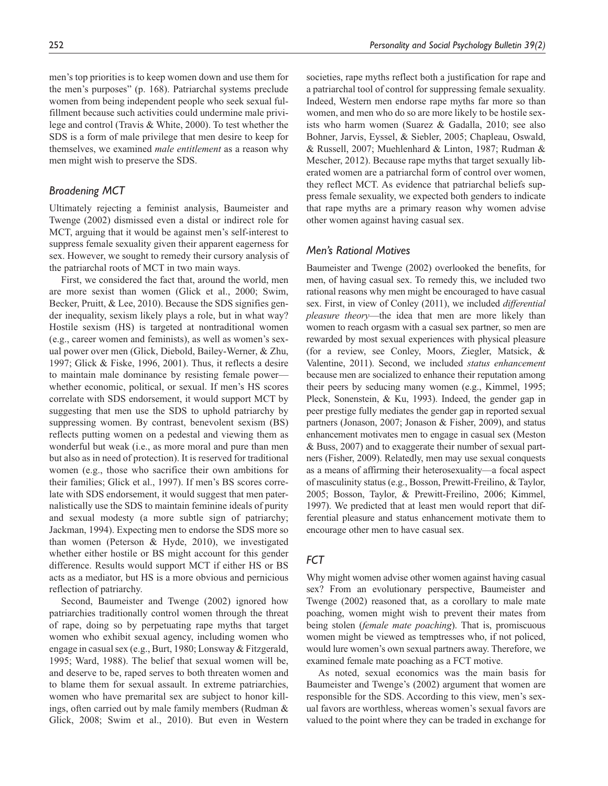men's top priorities is to keep women down and use them for the men's purposes" (p. 168). Patriarchal systems preclude women from being independent people who seek sexual fulfillment because such activities could undermine male privilege and control (Travis & White, 2000). To test whether the SDS is a form of male privilege that men desire to keep for themselves, we examined *male entitlement* as a reason why men might wish to preserve the SDS.

# *Broadening MCT*

Ultimately rejecting a feminist analysis, Baumeister and Twenge (2002) dismissed even a distal or indirect role for MCT, arguing that it would be against men's self-interest to suppress female sexuality given their apparent eagerness for sex. However, we sought to remedy their cursory analysis of the patriarchal roots of MCT in two main ways.

First, we considered the fact that, around the world, men are more sexist than women (Glick et al., 2000; Swim, Becker, Pruitt, & Lee, 2010). Because the SDS signifies gender inequality, sexism likely plays a role, but in what way? Hostile sexism (HS) is targeted at nontraditional women (e.g., career women and feminists), as well as women's sexual power over men (Glick, Diebold, Bailey-Werner, & Zhu, 1997; Glick & Fiske, 1996, 2001). Thus, it reflects a desire to maintain male dominance by resisting female power whether economic, political, or sexual. If men's HS scores correlate with SDS endorsement, it would support MCT by suggesting that men use the SDS to uphold patriarchy by suppressing women. By contrast, benevolent sexism (BS) reflects putting women on a pedestal and viewing them as wonderful but weak (i.e., as more moral and pure than men but also as in need of protection). It is reserved for traditional women (e.g., those who sacrifice their own ambitions for their families; Glick et al., 1997). If men's BS scores correlate with SDS endorsement, it would suggest that men paternalistically use the SDS to maintain feminine ideals of purity and sexual modesty (a more subtle sign of patriarchy; Jackman, 1994). Expecting men to endorse the SDS more so than women (Peterson & Hyde, 2010), we investigated whether either hostile or BS might account for this gender difference. Results would support MCT if either HS or BS acts as a mediator, but HS is a more obvious and pernicious reflection of patriarchy.

Second, Baumeister and Twenge (2002) ignored how patriarchies traditionally control women through the threat of rape, doing so by perpetuating rape myths that target women who exhibit sexual agency, including women who engage in casual sex (e.g., Burt, 1980; Lonsway & Fitzgerald, 1995; Ward, 1988). The belief that sexual women will be, and deserve to be, raped serves to both threaten women and to blame them for sexual assault. In extreme patriarchies, women who have premarital sex are subject to honor killings, often carried out by male family members (Rudman & Glick, 2008; Swim et al., 2010). But even in Western societies, rape myths reflect both a justification for rape and a patriarchal tool of control for suppressing female sexuality. Indeed, Western men endorse rape myths far more so than women, and men who do so are more likely to be hostile sexists who harm women (Suarez & Gadalla, 2010; see also Bohner, Jarvis, Eyssel, & Siebler, 2005; Chapleau, Oswald, & Russell, 2007; Muehlenhard & Linton, 1987; Rudman & Mescher, 2012). Because rape myths that target sexually liberated women are a patriarchal form of control over women, they reflect MCT. As evidence that patriarchal beliefs suppress female sexuality, we expected both genders to indicate that rape myths are a primary reason why women advise other women against having casual sex.

#### *Men's Rational Motives*

Baumeister and Twenge (2002) overlooked the benefits, for men, of having casual sex. To remedy this, we included two rational reasons why men might be encouraged to have casual sex. First, in view of Conley (2011), we included *differential pleasure theory*—the idea that men are more likely than women to reach orgasm with a casual sex partner, so men are rewarded by most sexual experiences with physical pleasure (for a review, see Conley, Moors, Ziegler, Matsick, & Valentine, 2011). Second, we included *status enhancement* because men are socialized to enhance their reputation among their peers by seducing many women (e.g., Kimmel, 1995; Pleck, Sonenstein, & Ku, 1993). Indeed, the gender gap in peer prestige fully mediates the gender gap in reported sexual partners (Jonason, 2007; Jonason & Fisher, 2009), and status enhancement motivates men to engage in casual sex (Meston & Buss, 2007) and to exaggerate their number of sexual partners (Fisher, 2009). Relatedly, men may use sexual conquests as a means of affirming their heterosexuality—a focal aspect of masculinity status (e.g., Bosson, Prewitt-Freilino, & Taylor, 2005; Bosson, Taylor, & Prewitt-Freilino, 2006; Kimmel, 1997). We predicted that at least men would report that differential pleasure and status enhancement motivate them to encourage other men to have casual sex.

# *FCT*

Why might women advise other women against having casual sex? From an evolutionary perspective, Baumeister and Twenge (2002) reasoned that, as a corollary to male mate poaching, women might wish to prevent their mates from being stolen (*female mate poaching*). That is, promiscuous women might be viewed as temptresses who, if not policed, would lure women's own sexual partners away. Therefore, we examined female mate poaching as a FCT motive.

As noted, sexual economics was the main basis for Baumeister and Twenge's (2002) argument that women are responsible for the SDS. According to this view, men's sexual favors are worthless, whereas women's sexual favors are valued to the point where they can be traded in exchange for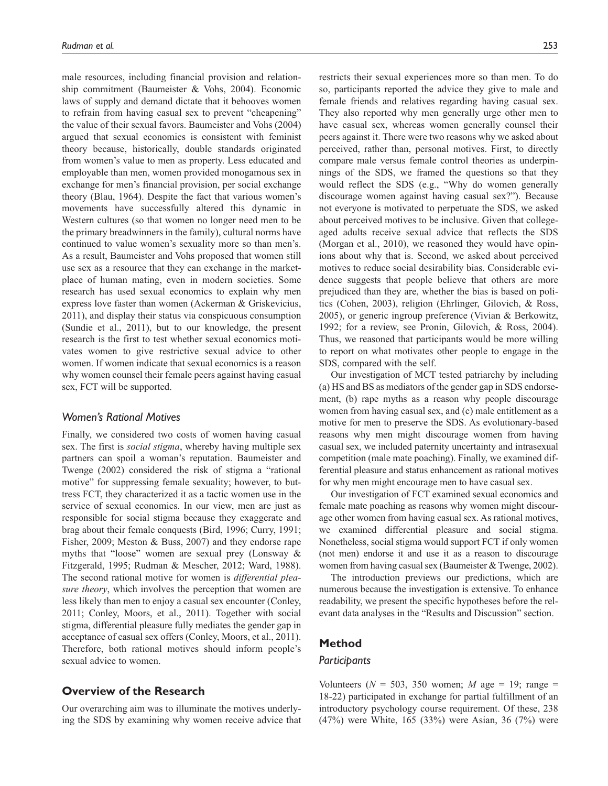male resources, including financial provision and relationship commitment (Baumeister & Vohs, 2004). Economic laws of supply and demand dictate that it behooves women to refrain from having casual sex to prevent "cheapening" the value of their sexual favors. Baumeister and Vohs (2004) argued that sexual economics is consistent with feminist theory because, historically, double standards originated from women's value to men as property. Less educated and employable than men, women provided monogamous sex in exchange for men's financial provision, per social exchange theory (Blau, 1964). Despite the fact that various women's movements have successfully altered this dynamic in Western cultures (so that women no longer need men to be the primary breadwinners in the family), cultural norms have continued to value women's sexuality more so than men's. As a result, Baumeister and Vohs proposed that women still use sex as a resource that they can exchange in the marketplace of human mating, even in modern societies. Some research has used sexual economics to explain why men express love faster than women (Ackerman & Griskevicius, 2011), and display their status via conspicuous consumption (Sundie et al., 2011), but to our knowledge, the present research is the first to test whether sexual economics motivates women to give restrictive sexual advice to other women. If women indicate that sexual economics is a reason why women counsel their female peers against having casual sex, FCT will be supported.

# *Women's Rational Motives*

Finally, we considered two costs of women having casual sex. The first is *social stigma*, whereby having multiple sex partners can spoil a woman's reputation. Baumeister and Twenge (2002) considered the risk of stigma a "rational motive" for suppressing female sexuality; however, to buttress FCT, they characterized it as a tactic women use in the service of sexual economics. In our view, men are just as responsible for social stigma because they exaggerate and brag about their female conquests (Bird, 1996; Curry, 1991; Fisher, 2009; Meston & Buss, 2007) and they endorse rape myths that "loose" women are sexual prey (Lonsway & Fitzgerald, 1995; Rudman & Mescher, 2012; Ward, 1988). The second rational motive for women is *differential pleasure theory*, which involves the perception that women are less likely than men to enjoy a casual sex encounter (Conley, 2011; Conley, Moors, et al., 2011). Together with social stigma, differential pleasure fully mediates the gender gap in acceptance of casual sex offers (Conley, Moors, et al., 2011). Therefore, both rational motives should inform people's sexual advice to women.

# **Overview of the Research**

Our overarching aim was to illuminate the motives underlying the SDS by examining why women receive advice that

restricts their sexual experiences more so than men. To do so, participants reported the advice they give to male and female friends and relatives regarding having casual sex. They also reported why men generally urge other men to have casual sex, whereas women generally counsel their peers against it. There were two reasons why we asked about perceived, rather than, personal motives. First, to directly compare male versus female control theories as underpinnings of the SDS, we framed the questions so that they would reflect the SDS (e.g., "Why do women generally discourage women against having casual sex?"). Because not everyone is motivated to perpetuate the SDS, we asked about perceived motives to be inclusive. Given that collegeaged adults receive sexual advice that reflects the SDS (Morgan et al., 2010), we reasoned they would have opinions about why that is. Second, we asked about perceived motives to reduce social desirability bias. Considerable evidence suggests that people believe that others are more prejudiced than they are, whether the bias is based on politics (Cohen, 2003), religion (Ehrlinger, Gilovich, & Ross, 2005), or generic ingroup preference (Vivian & Berkowitz, 1992; for a review, see Pronin, Gilovich, & Ross, 2004). Thus, we reasoned that participants would be more willing to report on what motivates other people to engage in the SDS, compared with the self.

Our investigation of MCT tested patriarchy by including (a) HS and BS as mediators of the gender gap in SDS endorsement, (b) rape myths as a reason why people discourage women from having casual sex, and (c) male entitlement as a motive for men to preserve the SDS. As evolutionary-based reasons why men might discourage women from having casual sex, we included paternity uncertainty and intrasexual competition (male mate poaching). Finally, we examined differential pleasure and status enhancement as rational motives for why men might encourage men to have casual sex.

Our investigation of FCT examined sexual economics and female mate poaching as reasons why women might discourage other women from having casual sex. As rational motives, we examined differential pleasure and social stigma. Nonetheless, social stigma would support FCT if only women (not men) endorse it and use it as a reason to discourage women from having casual sex (Baumeister & Twenge, 2002).

The introduction previews our predictions, which are numerous because the investigation is extensive. To enhance readability, we present the specific hypotheses before the relevant data analyses in the "Results and Discussion" section.

#### **Method**

#### *Participants*

Volunteers ( $N = 503$ , 350 women;  $M$  age = 19; range = 18-22) participated in exchange for partial fulfillment of an introductory psychology course requirement. Of these, 238 (47%) were White, 165 (33%) were Asian, 36 (7%) were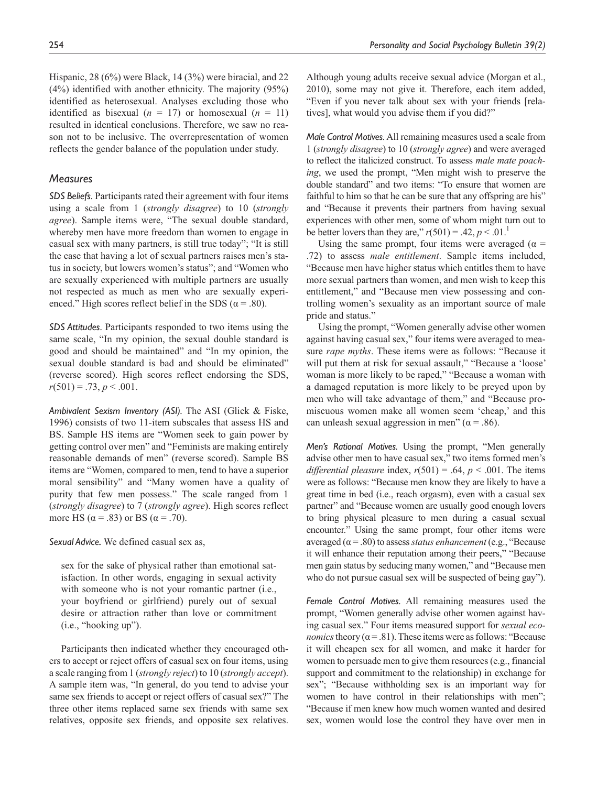Hispanic, 28 (6%) were Black, 14 (3%) were biracial, and 22 (4%) identified with another ethnicity. The majority (95%) identified as heterosexual. Analyses excluding those who identified as bisexual  $(n = 17)$  or homosexual  $(n = 11)$ resulted in identical conclusions. Therefore, we saw no reason not to be inclusive. The overrepresentation of women reflects the gender balance of the population under study.

# *Measures*

*SDS Beliefs.* Participants rated their agreement with four items using a scale from 1 (*strongly disagree*) to 10 (*strongly agree*). Sample items were, "The sexual double standard, whereby men have more freedom than women to engage in casual sex with many partners, is still true today"; "It is still the case that having a lot of sexual partners raises men's status in society, but lowers women's status"; and "Women who are sexually experienced with multiple partners are usually not respected as much as men who are sexually experienced." High scores reflect belief in the SDS ( $\alpha$  = .80).

*SDS Attitudes.* Participants responded to two items using the same scale, "In my opinion, the sexual double standard is good and should be maintained" and "In my opinion, the sexual double standard is bad and should be eliminated" (reverse scored). High scores reflect endorsing the SDS,  $r(501) = .73, p < .001.$ 

*Ambivalent Sexism Inventory (ASI).* The ASI (Glick & Fiske, 1996) consists of two 11-item subscales that assess HS and BS. Sample HS items are "Women seek to gain power by getting control over men" and "Feminists are making entirely reasonable demands of men" (reverse scored). Sample BS items are "Women, compared to men, tend to have a superior moral sensibility" and "Many women have a quality of purity that few men possess." The scale ranged from 1 (*strongly disagree*) to 7 (*strongly agree*). High scores reflect more HS ( $\alpha$  = .83) or BS ( $\alpha$  = .70).

*Sexual Advice.* We defined casual sex as,

sex for the sake of physical rather than emotional satisfaction. In other words, engaging in sexual activity with someone who is not your romantic partner (i.e., your boyfriend or girlfriend) purely out of sexual desire or attraction rather than love or commitment (i.e., "hooking up").

Participants then indicated whether they encouraged others to accept or reject offers of casual sex on four items, using a scale ranging from 1 (*strongly reject*) to 10 (*strongly accept*). A sample item was, "In general, do you tend to advise your same sex friends to accept or reject offers of casual sex?" The three other items replaced same sex friends with same sex relatives, opposite sex friends, and opposite sex relatives.

Although young adults receive sexual advice (Morgan et al., 2010), some may not give it. Therefore, each item added, "Even if you never talk about sex with your friends [relatives], what would you advise them if you did?"

*Male Control Motives.* All remaining measures used a scale from 1 (*strongly disagree*) to 10 (*strongly agree*) and were averaged to reflect the italicized construct. To assess *male mate poaching*, we used the prompt, "Men might wish to preserve the double standard" and two items: "To ensure that women are faithful to him so that he can be sure that any offspring are his" and "Because it prevents their partners from having sexual experiences with other men, some of whom might turn out to be better lovers than they are,"  $r(501) = .42$ ,  $p < .01$ .<sup>1</sup>

Using the same prompt, four items were averaged ( $\alpha$  = .72) to assess *male entitlement*. Sample items included, "Because men have higher status which entitles them to have more sexual partners than women, and men wish to keep this entitlement," and "Because men view possessing and controlling women's sexuality as an important source of male pride and status."

Using the prompt, "Women generally advise other women against having casual sex," four items were averaged to measure *rape myths*. These items were as follows: "Because it will put them at risk for sexual assault," "Because a 'loose' woman is more likely to be raped," "Because a woman with a damaged reputation is more likely to be preyed upon by men who will take advantage of them," and "Because promiscuous women make all women seem 'cheap,' and this can unleash sexual aggression in men" ( $\alpha$  = .86).

*Men's Rational Motives.* Using the prompt, "Men generally advise other men to have casual sex," two items formed men's *differential pleasure* index,  $r(501) = .64$ ,  $p < .001$ . The items were as follows: "Because men know they are likely to have a great time in bed (i.e., reach orgasm), even with a casual sex partner" and "Because women are usually good enough lovers to bring physical pleasure to men during a casual sexual encounter." Using the same prompt, four other items were averaged  $(\alpha = .80)$  to assess *status enhancement* (e.g., "Because" it will enhance their reputation among their peers," "Because men gain status by seducing many women," and "Because men who do not pursue casual sex will be suspected of being gay").

*Female Control Motives.* All remaining measures used the prompt, "Women generally advise other women against having casual sex." Four items measured support for *sexual economics* theory ( $\alpha$  = .81). These items were as follows: "Because it will cheapen sex for all women, and make it harder for women to persuade men to give them resources (e.g., financial support and commitment to the relationship) in exchange for sex"; "Because withholding sex is an important way for women to have control in their relationships with men"; "Because if men knew how much women wanted and desired sex, women would lose the control they have over men in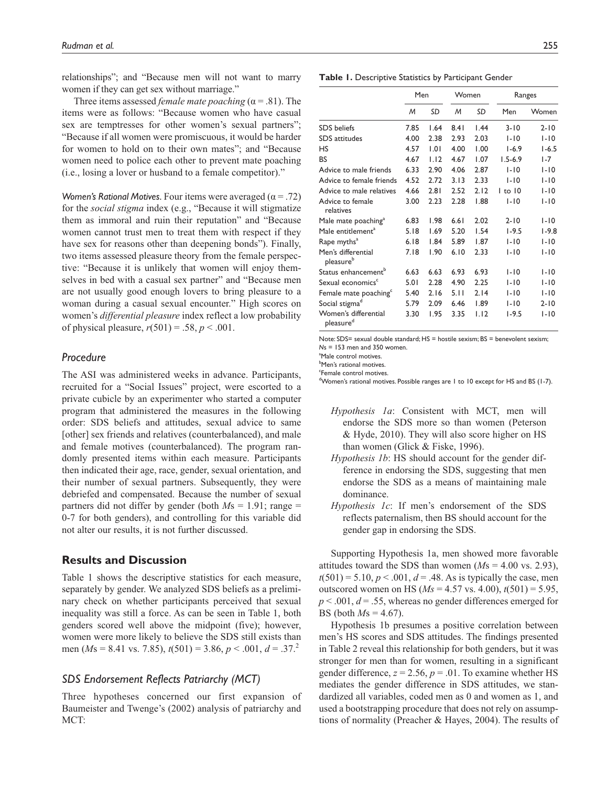relationships"; and "Because men will not want to marry women if they can get sex without marriage."

Three items assessed *female mate poaching* ( $\alpha$  = .81). The items were as follows: "Because women who have casual sex are temptresses for other women's sexual partners"; "Because if all women were promiscuous, it would be harder for women to hold on to their own mates"; and "Because women need to police each other to prevent mate poaching (i.e., losing a lover or husband to a female competitor)."

*Women's Rational Motives.* Four items were averaged  $(\alpha = .72)$ for the *social stigma* index (e.g., "Because it will stigmatize them as immoral and ruin their reputation" and "Because women cannot trust men to treat them with respect if they have sex for reasons other than deepening bonds"). Finally, two items assessed pleasure theory from the female perspective: "Because it is unlikely that women will enjoy themselves in bed with a casual sex partner" and "Because men are not usually good enough lovers to bring pleasure to a woman during a casual sexual encounter." High scores on women's *differential pleasure* index reflect a low probability of physical pleasure,  $r(501) = .58$ ,  $p < .001$ .

#### *Procedure*

The ASI was administered weeks in advance. Participants, recruited for a "Social Issues" project, were escorted to a private cubicle by an experimenter who started a computer program that administered the measures in the following order: SDS beliefs and attitudes, sexual advice to same [other] sex friends and relatives (counterbalanced), and male and female motives (counterbalanced). The program randomly presented items within each measure. Participants then indicated their age, race, gender, sexual orientation, and their number of sexual partners. Subsequently, they were debriefed and compensated. Because the number of sexual partners did not differ by gender (both  $Ms = 1.91$ ; range = 0-7 for both genders), and controlling for this variable did not alter our results, it is not further discussed.

# **Results and Discussion**

Table 1 shows the descriptive statistics for each measure, separately by gender. We analyzed SDS beliefs as a preliminary check on whether participants perceived that sexual inequality was still a force. As can be seen in Table 1, both genders scored well above the midpoint (five); however, women were more likely to believe the SDS still exists than men (*M*s = 8.41 vs. 7.85), *t*(501) = 3.86, *p* < .001, *d* = .37.2

# *SDS Endorsement Reflects Patriarchy (MCT)*

Three hypotheses concerned our first expansion of Baumeister and Twenge's (2002) analysis of patriarchy and MCT:

**Table 1.** Descriptive Statistics by Participant Gender

|                                             | Men  |      | Women |      | Ranges      |           |
|---------------------------------------------|------|------|-------|------|-------------|-----------|
|                                             | M    | SD   | M     | SD   | Men         | Women     |
| <b>SDS</b> beliefs                          | 7.85 | 1.64 | 8.41  | 1.44 | $3 - 10$    | $2 - 10$  |
| <b>SDS</b> attitudes                        | 4.00 | 2.38 | 2.93  | 2.03 | $1 - 10$    | $1 - 10$  |
| HS                                          | 4.57 | 1.01 | 4.00  | 1.00 | $1-6.9$     | $1 - 6.5$ |
| <b>BS</b>                                   | 4.67 | 1.12 | 4.67  | 1.07 | $1.5 - 6.9$ | $1-7$     |
| Advice to male friends                      | 6.33 | 2.90 | 4.06  | 2.87 | $1 - 10$    | $1 - 10$  |
| Advice to female friends                    | 4.52 | 2.72 | 3.13  | 2.33 | $1 - 10$    | $1 - 10$  |
| Advice to male relatives                    | 4.66 | 2.81 | 2.52  | 2.12 | $ $ to $ 0$ | $1 - 10$  |
| Advice to female<br>relatives               | 3.00 | 2.23 | 2.28  | 1.88 | $1 - 10$    | $1 - 10$  |
| Male mate poaching <sup>a</sup>             | 6.83 | 1.98 | 6.61  | 2.02 | $2 - 10$    | $1 - 10$  |
| Male entitlement <sup>a</sup>               | 5.18 | 1.69 | 5.20  | 1.54 | $1 - 9.5$   | $1 - 9.8$ |
| Rape myths <sup>a</sup>                     | 6.18 | 1.84 | 5.89  | 1.87 | $1 - 10$    | $1 - 10$  |
| Men's differential<br>pleasure <sup>b</sup> | 7.18 | 1.90 | 6.10  | 2.33 | $1 - 10$    | $1 - 10$  |
| Status enhancement <sup>b</sup>             | 6.63 | 6.63 | 6.93  | 6.93 | $1 - 10$    | $1 - 10$  |
| Sexual economics <sup>c</sup>               | 5.01 | 2.28 | 4.90  | 2.25 | $1 - 10$    | $1 - 10$  |
| Female mate poaching <sup>c</sup>           | 5.40 | 2.16 | 5.11  | 2.14 | $1 - 10$    | $1 - 10$  |
| Social stigma <sup>d</sup>                  | 5.79 | 2.09 | 6.46  | 1.89 | $1 - 10$    | $2 - 10$  |
| Women's differential<br>pleasured           | 3.30 | 1.95 | 3.35  | 1.12 | $1 - 9.5$   | $1 - 10$  |

Note: SDS= sexual double standard; HS = hostile sexism; BS = benevolent sexism; *N*s = 153 men and 350 women.

<sup>a</sup>Male control motives.

<sup>b</sup>Men's rational motives.

<sup>c</sup>Female control motives.

<sup>d</sup>Women's rational motives. Possible ranges are 1 to 10 except for HS and BS (1-7).

- *Hypothesis 1a*: Consistent with MCT, men will endorse the SDS more so than women (Peterson & Hyde, 2010). They will also score higher on HS than women (Glick & Fiske, 1996).
- *Hypothesis 1b*: HS should account for the gender difference in endorsing the SDS, suggesting that men endorse the SDS as a means of maintaining male dominance.
- *Hypothesis 1c*: If men's endorsement of the SDS reflects paternalism, then BS should account for the gender gap in endorsing the SDS.

Supporting Hypothesis 1a, men showed more favorable attitudes toward the SDS than women (*M*s = 4.00 vs. 2.93),  $t(501) = 5.10, p < .001, d = .48$ . As is typically the case, men outscored women on HS (*Ms* = 4.57 vs. 4.00), *t*(501) = 5.95, *p* < .001, *d* = .55, whereas no gender differences emerged for BS (both *M*s = 4.67).

Hypothesis 1b presumes a positive correlation between men's HS scores and SDS attitudes. The findings presented in Table 2 reveal this relationship for both genders, but it was stronger for men than for women, resulting in a significant gender difference,  $z = 2.56$ ,  $p = .01$ . To examine whether HS mediates the gender difference in SDS attitudes, we standardized all variables, coded men as 0 and women as 1, and used a bootstrapping procedure that does not rely on assumptions of normality (Preacher & Hayes, 2004). The results of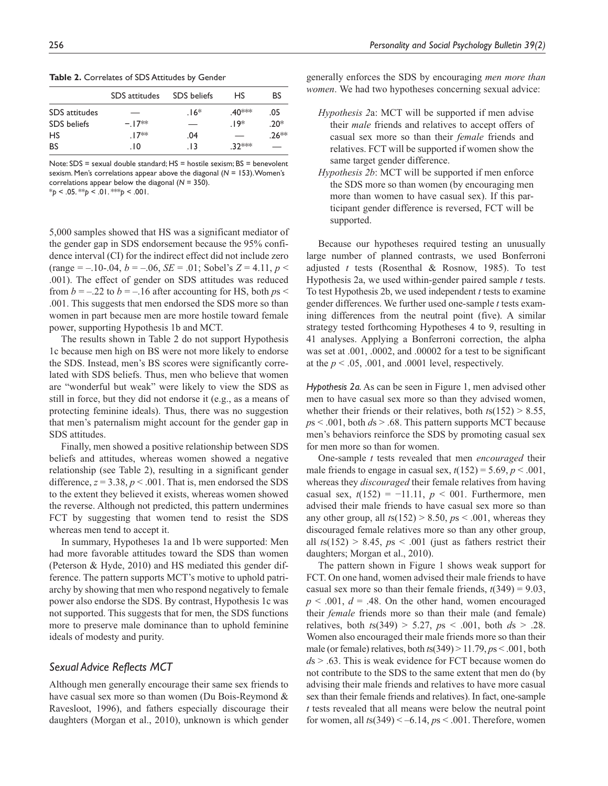| <b>SDS</b> attitudes | <b>SDS</b> beliefs | HS      | BS      |
|----------------------|--------------------|---------|---------|
| __                   | $.16*$             | .40 *** | .05     |
| $-17**$              |                    | 19*     | $.20*$  |
| $.17**$              | .04                |         | $.26**$ |
| ۱٥.                  | . I 3              | $32***$ |         |
|                      |                    |         |         |

**Table 2.** Correlates of SDS Attitudes by Gender

Note: SDS = sexual double standard; HS = hostile sexism; BS = benevolent sexism. Men's correlations appear above the diagonal (*N* = 153). Women's correlations appear below the diagonal (*N* = 350).  $*_{p}$  < .05.  $*_{p}$  < .01.  $*_{p}$  < .001.

5,000 samples showed that HS was a significant mediator of the gender gap in SDS endorsement because the 95% confidence interval (CI) for the indirect effect did not include zero  $(range = -.10-.04, b = -.06, SE = .01; Sobel's Z = 4.11, p <$ .001). The effect of gender on SDS attitudes was reduced from  $b = -.22$  to  $b = -.16$  after accounting for HS, both  $ps <$ .001. This suggests that men endorsed the SDS more so than women in part because men are more hostile toward female power, supporting Hypothesis 1b and MCT.

The results shown in Table 2 do not support Hypothesis 1c because men high on BS were not more likely to endorse the SDS. Instead, men's BS scores were significantly correlated with SDS beliefs. Thus, men who believe that women are "wonderful but weak" were likely to view the SDS as still in force, but they did not endorse it (e.g., as a means of protecting feminine ideals). Thus, there was no suggestion that men's paternalism might account for the gender gap in SDS attitudes.

Finally, men showed a positive relationship between SDS beliefs and attitudes, whereas women showed a negative relationship (see Table 2), resulting in a significant gender difference,  $z = 3.38$ ,  $p < .001$ . That is, men endorsed the SDS to the extent they believed it exists, whereas women showed the reverse. Although not predicted, this pattern undermines FCT by suggesting that women tend to resist the SDS whereas men tend to accept it.

In summary, Hypotheses 1a and 1b were supported: Men had more favorable attitudes toward the SDS than women (Peterson & Hyde, 2010) and HS mediated this gender difference. The pattern supports MCT's motive to uphold patriarchy by showing that men who respond negatively to female power also endorse the SDS. By contrast, Hypothesis 1c was not supported. This suggests that for men, the SDS functions more to preserve male dominance than to uphold feminine ideals of modesty and purity.

#### *Sexual Advice Reflects MCT*

Although men generally encourage their same sex friends to have casual sex more so than women (Du Bois-Reymond & Ravesloot, 1996), and fathers especially discourage their daughters (Morgan et al., 2010), unknown is which gender generally enforces the SDS by encouraging *men more than women*. We had two hypotheses concerning sexual advice:

- *Hypothesis 2*a: MCT will be supported if men advise their *male* friends and relatives to accept offers of casual sex more so than their *female* friends and relatives. FCT will be supported if women show the same target gender difference.
- *Hypothesis 2b*: MCT will be supported if men enforce the SDS more so than women (by encouraging men more than women to have casual sex). If this participant gender difference is reversed, FCT will be supported.

Because our hypotheses required testing an unusually large number of planned contrasts, we used Bonferroni adjusted *t* tests (Rosenthal & Rosnow, 1985). To test Hypothesis 2a, we used within-gender paired sample *t* tests. To test Hypothesis 2b, we used independent *t* tests to examine gender differences. We further used one-sample *t* tests examining differences from the neutral point (five). A similar strategy tested forthcoming Hypotheses 4 to 9, resulting in 41 analyses. Applying a Bonferroni correction, the alpha was set at .001, .0002, and .00002 for a test to be significant at the  $p < .05, .001,$  and  $.0001$  level, respectively.

*Hypothesis 2a.* As can be seen in Figure 1, men advised other men to have casual sex more so than they advised women, whether their friends or their relatives, both *t*s(152) > 8.55, *p*s < .001, both *d*s > .68. This pattern supports MCT because men's behaviors reinforce the SDS by promoting casual sex for men more so than for women.

One-sample *t* tests revealed that men *encouraged* their male friends to engage in casual sex,  $t(152) = 5.69$ ,  $p < .001$ , whereas they *discouraged* their female relatives from having casual sex,  $t(152) = -11.11$ ,  $p < 001$ . Furthermore, men advised their male friends to have casual sex more so than any other group, all  $t s(152) > 8.50$ ,  $p s < .001$ , whereas they discouraged female relatives more so than any other group, all  $t s(152) > 8.45$ ,  $p s < .001$  (just as fathers restrict their daughters; Morgan et al., 2010).

The pattern shown in Figure 1 shows weak support for FCT. On one hand, women advised their male friends to have casual sex more so than their female friends,  $t(349) = 9.03$ ,  $p \le 0.001$ ,  $d = 0.48$ . On the other hand, women encouraged their *female* friends more so than their male (and female) relatives, both *t*s(349) > 5.27, *p*s < .001, both *d*s > .28. Women also encouraged their male friends more so than their male (or female) relatives, both *t*s(349) > 11.79, *p*s < .001, both *d*s > .63. This is weak evidence for FCT because women do not contribute to the SDS to the same extent that men do (by advising their male friends and relatives to have more casual sex than their female friends and relatives). In fact, one-sample *t* tests revealed that all means were below the neutral point for women, all *t*s(349) < –6.14, *p*s < .001. Therefore, women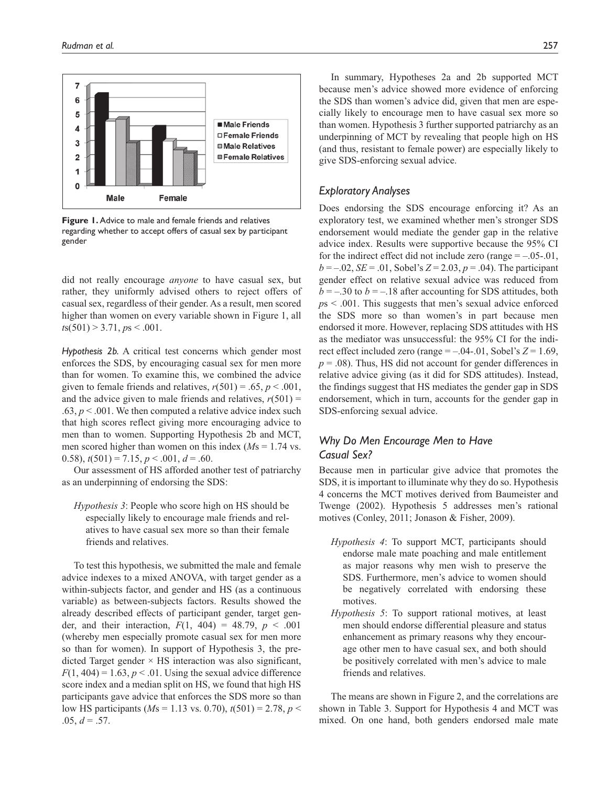

**Figure 1.** Advice to male and female friends and relatives regarding whether to accept offers of casual sex by participant gender

did not really encourage *anyone* to have casual sex, but rather, they uniformly advised others to reject offers of casual sex, regardless of their gender. As a result, men scored higher than women on every variable shown in Figure 1, all *t*s(501) > 3.71, *p*s < .001.

*Hypothesis 2b.* A critical test concerns which gender most enforces the SDS, by encouraging casual sex for men more than for women. To examine this, we combined the advice given to female friends and relatives,  $r(501) = .65$ ,  $p < .001$ , and the advice given to male friends and relatives,  $r(501) =$  $.63, p \leq .001$ . We then computed a relative advice index such that high scores reflect giving more encouraging advice to men than to women. Supporting Hypothesis 2b and MCT, men scored higher than women on this index (*M*s = 1.74 vs. 0.58),  $t(501) = 7.15$ ,  $p < .001$ ,  $d = .60$ .

Our assessment of HS afforded another test of patriarchy as an underpinning of endorsing the SDS:

*Hypothesis 3*: People who score high on HS should be especially likely to encourage male friends and relatives to have casual sex more so than their female friends and relatives.

To test this hypothesis, we submitted the male and female advice indexes to a mixed ANOVA, with target gender as a within-subjects factor, and gender and HS (as a continuous variable) as between-subjects factors. Results showed the already described effects of participant gender, target gender, and their interaction, *F*(1, 404) = 48.79, *p* < .001 (whereby men especially promote casual sex for men more so than for women). In support of Hypothesis 3, the predicted Target gender  $\times$  HS interaction was also significant,  $F(1, 404) = 1.63$ ,  $p < .01$ . Using the sexual advice difference score index and a median split on HS, we found that high HS participants gave advice that enforces the SDS more so than low HS participants (*M*s = 1.13 vs. 0.70), *t*(501) = 2.78, *p* <  $.05, d = .57.$ 

In summary, Hypotheses 2a and 2b supported MCT because men's advice showed more evidence of enforcing the SDS than women's advice did, given that men are especially likely to encourage men to have casual sex more so than women. Hypothesis 3 further supported patriarchy as an underpinning of MCT by revealing that people high on HS (and thus, resistant to female power) are especially likely to give SDS-enforcing sexual advice.

# *Exploratory Analyses*

Does endorsing the SDS encourage enforcing it? As an exploratory test, we examined whether men's stronger SDS endorsement would mediate the gender gap in the relative advice index. Results were supportive because the 95% CI for the indirect effect did not include zero (range  $=$   $-0.05$  $-0.01$ ,  $b = -.02$ , *SE* = .01, Sobel's *Z* = 2.03, *p* = .04). The participant gender effect on relative sexual advice was reduced from  $b = -0.30$  to  $b = -0.18$  after accounting for SDS attitudes, both *p*s < .001. This suggests that men's sexual advice enforced the SDS more so than women's in part because men endorsed it more. However, replacing SDS attitudes with HS as the mediator was unsuccessful: the 95% CI for the indirect effect included zero (range  $=$  -.04-.01, Sobel's  $Z = 1.69$ ,  $p = .08$ ). Thus, HS did not account for gender differences in relative advice giving (as it did for SDS attitudes). Instead, the findings suggest that HS mediates the gender gap in SDS endorsement, which in turn, accounts for the gender gap in SDS-enforcing sexual advice.

# *Why Do Men Encourage Men to Have Casual Sex?*

Because men in particular give advice that promotes the SDS, it is important to illuminate why they do so. Hypothesis 4 concerns the MCT motives derived from Baumeister and Twenge (2002). Hypothesis 5 addresses men's rational motives (Conley, 2011; Jonason & Fisher, 2009).

- *Hypothesis 4*: To support MCT, participants should endorse male mate poaching and male entitlement as major reasons why men wish to preserve the SDS. Furthermore, men's advice to women should be negatively correlated with endorsing these motives.
- *Hypothesis 5*: To support rational motives, at least men should endorse differential pleasure and status enhancement as primary reasons why they encourage other men to have casual sex, and both should be positively correlated with men's advice to male friends and relatives.

The means are shown in Figure 2, and the correlations are shown in Table 3. Support for Hypothesis 4 and MCT was mixed. On one hand, both genders endorsed male mate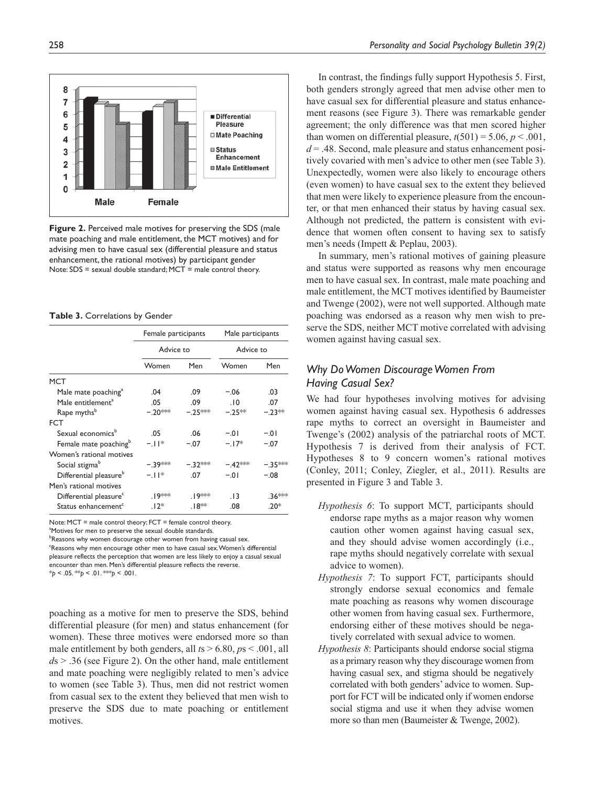

**Figure 2.** Perceived male motives for preserving the SDS (male mate poaching and male entitlement, the MCT motives) and for advising men to have casual sex (differential pleasure and status enhancement, the rational motives) by participant gender Note: SDS = sexual double standard; MCT = male control theory.

#### **Table 3.** Correlations by Gender

|                                    | Female participants |          | Male participants |          |
|------------------------------------|---------------------|----------|-------------------|----------|
|                                    | Advice to           |          | Advice to         |          |
|                                    | Women               | Men      | Women             | Men      |
| MCT                                |                     |          |                   |          |
| Male mate poaching <sup>a</sup>    | .04                 | .09      | $-.06$            | .03      |
| Male entitlement <sup>a</sup>      | .05                 | .09      | .10               | .07      |
| Rape myths <sup>b</sup>            | $-.20***$           | $-25$ ** | $-.25**$          | $-.23**$ |
| <b>FCT</b>                         |                     |          |                   |          |
| Sexual economics <sup>b</sup>      | .05                 | .06      | $-.01$            | $-.01$   |
| Female mate poaching <sup>b</sup>  | $-11*$              | $-.07$   | $-17*$            | $-.07$   |
| Women's rational motives           |                     |          |                   |          |
| Social stigma <sup>b</sup>         | $-39***$            | $-32**$  | $-42***$          | $-35***$ |
| Differential pleasure <sup>b</sup> | $-11*$              | .07      | $-.01$            | $-.08$   |
| Men's rational motives             |                     |          |                   |          |
| Differential pleasure <sup>c</sup> | .∣9∗∗∗              | .   9≭≭≭ | . I 3             | .36***   |
| Status enhancement <sup>c</sup>    | $.12*$              | .∣8**    | .08               | .20*     |

Note: MCT = male control theory; FCT = female control theory.

<sup>a</sup>Motives for men to preserve the sexual double standards.

 $^{\rm b}$ Reasons why women discourage other women from having casual sex.

Reasons why men encourage other men to have casual sex. Women's differential pleasure reflects the perception that women are less likely to enjoy a casual sexual encounter than men. Men's differential pleasure reflects the reverse.

 $*_{p}$  < .05.  $*_{p}$  < .01.  $*_{p}$  < .001.

poaching as a motive for men to preserve the SDS, behind differential pleasure (for men) and status enhancement (for women). These three motives were endorsed more so than male entitlement by both genders, all *t*s > 6.80, *p*s < .001, all *d*s > .36 (see Figure 2). On the other hand, male entitlement and mate poaching were negligibly related to men's advice to women (see Table 3). Thus, men did not restrict women from casual sex to the extent they believed that men wish to preserve the SDS due to mate poaching or entitlement motives.

In contrast, the findings fully support Hypothesis 5. First, both genders strongly agreed that men advise other men to have casual sex for differential pleasure and status enhancement reasons (see Figure 3). There was remarkable gender agreement; the only difference was that men scored higher than women on differential pleasure,  $t(501) = 5.06$ ,  $p < .001$ ,  $d = 0.48$ . Second, male pleasure and status enhancement positively covaried with men's advice to other men (see Table 3). Unexpectedly, women were also likely to encourage others (even women) to have casual sex to the extent they believed that men were likely to experience pleasure from the encounter, or that men enhanced their status by having casual sex. Although not predicted, the pattern is consistent with evidence that women often consent to having sex to satisfy men's needs (Impett & Peplau, 2003).

In summary, men's rational motives of gaining pleasure and status were supported as reasons why men encourage men to have casual sex. In contrast, male mate poaching and male entitlement, the MCT motives identified by Baumeister and Twenge (2002), were not well supported. Although mate poaching was endorsed as a reason why men wish to preserve the SDS, neither MCT motive correlated with advising women against having casual sex.

# *Why Do Women Discourage Women From Having Casual Sex?*

We had four hypotheses involving motives for advising women against having casual sex. Hypothesis 6 addresses rape myths to correct an oversight in Baumeister and Twenge's (2002) analysis of the patriarchal roots of MCT. Hypothesis 7 is derived from their analysis of FCT. Hypotheses 8 to 9 concern women's rational motives (Conley, 2011; Conley, Ziegler, et al., 2011). Results are presented in Figure 3 and Table 3.

- *Hypothesis 6*: To support MCT, participants should endorse rape myths as a major reason why women caution other women against having casual sex, and they should advise women accordingly (i.e., rape myths should negatively correlate with sexual advice to women).
- *Hypothesis 7*: To support FCT, participants should strongly endorse sexual economics and female mate poaching as reasons why women discourage other women from having casual sex. Furthermore, endorsing either of these motives should be negatively correlated with sexual advice to women.
- *Hypothesis 8*: Participants should endorse social stigma as a primary reason why they discourage women from having casual sex, and stigma should be negatively correlated with both genders' advice to women. Support for FCT will be indicated only if women endorse social stigma and use it when they advise women more so than men (Baumeister & Twenge, 2002).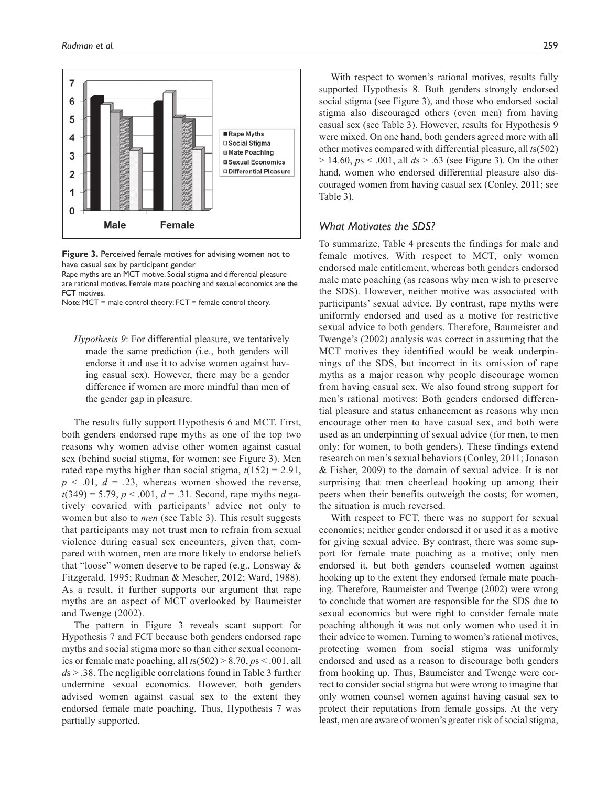



Rape myths are an MCT motive. Social stigma and differential pleasure are rational motives. Female mate poaching and sexual economics are the FCT motives.

Note: MCT = male control theory; FCT = female control theory.

*Hypothesis 9*: For differential pleasure, we tentatively made the same prediction (i.e., both genders will endorse it and use it to advise women against having casual sex). However, there may be a gender difference if women are more mindful than men of the gender gap in pleasure.

The results fully support Hypothesis 6 and MCT. First, both genders endorsed rape myths as one of the top two reasons why women advise other women against casual sex (behind social stigma, for women; see Figure 3). Men rated rape myths higher than social stigma,  $t(152) = 2.91$ ,  $p \leq 0.01$ ,  $d = 0.23$ , whereas women showed the reverse,  $t(349) = 5.79, p < .001, d = .31$ . Second, rape myths negatively covaried with participants' advice not only to women but also to *men* (see Table 3). This result suggests that participants may not trust men to refrain from sexual violence during casual sex encounters, given that, compared with women, men are more likely to endorse beliefs that "loose" women deserve to be raped (e.g., Lonsway & Fitzgerald, 1995; Rudman & Mescher, 2012; Ward, 1988). As a result, it further supports our argument that rape myths are an aspect of MCT overlooked by Baumeister and Twenge (2002).

The pattern in Figure 3 reveals scant support for Hypothesis 7 and FCT because both genders endorsed rape myths and social stigma more so than either sexual economics or female mate poaching, all *t*s(502) > 8.70, *p*s < .001, all *d*s > .38. The negligible correlations found in Table 3 further undermine sexual economics. However, both genders advised women against casual sex to the extent they endorsed female mate poaching. Thus, Hypothesis 7 was partially supported.

With respect to women's rational motives, results fully supported Hypothesis 8. Both genders strongly endorsed social stigma (see Figure 3), and those who endorsed social stigma also discouraged others (even men) from having casual sex (see Table 3). However, results for Hypothesis 9 were mixed. On one hand, both genders agreed more with all other motives compared with differential pleasure, all *t*s(502) > 14.60, *p*s < .001, all *d*s > .63 (see Figure 3). On the other hand, women who endorsed differential pleasure also discouraged women from having casual sex (Conley, 2011; see Table 3).

# *What Motivates the SDS?*

To summarize, Table 4 presents the findings for male and female motives. With respect to MCT, only women endorsed male entitlement, whereas both genders endorsed male mate poaching (as reasons why men wish to preserve the SDS). However, neither motive was associated with participants' sexual advice. By contrast, rape myths were uniformly endorsed and used as a motive for restrictive sexual advice to both genders. Therefore, Baumeister and Twenge's (2002) analysis was correct in assuming that the MCT motives they identified would be weak underpinnings of the SDS, but incorrect in its omission of rape myths as a major reason why people discourage women from having casual sex. We also found strong support for men's rational motives: Both genders endorsed differential pleasure and status enhancement as reasons why men encourage other men to have casual sex, and both were used as an underpinning of sexual advice (for men, to men only; for women, to both genders). These findings extend research on men's sexual behaviors (Conley, 2011; Jonason & Fisher, 2009) to the domain of sexual advice. It is not surprising that men cheerlead hooking up among their peers when their benefits outweigh the costs; for women, the situation is much reversed.

With respect to FCT, there was no support for sexual economics; neither gender endorsed it or used it as a motive for giving sexual advice. By contrast, there was some support for female mate poaching as a motive; only men endorsed it, but both genders counseled women against hooking up to the extent they endorsed female mate poaching. Therefore, Baumeister and Twenge (2002) were wrong to conclude that women are responsible for the SDS due to sexual economics but were right to consider female mate poaching although it was not only women who used it in their advice to women. Turning to women's rational motives, protecting women from social stigma was uniformly endorsed and used as a reason to discourage both genders from hooking up. Thus, Baumeister and Twenge were correct to consider social stigma but were wrong to imagine that only women counsel women against having casual sex to protect their reputations from female gossips. At the very least, men are aware of women's greater risk of social stigma,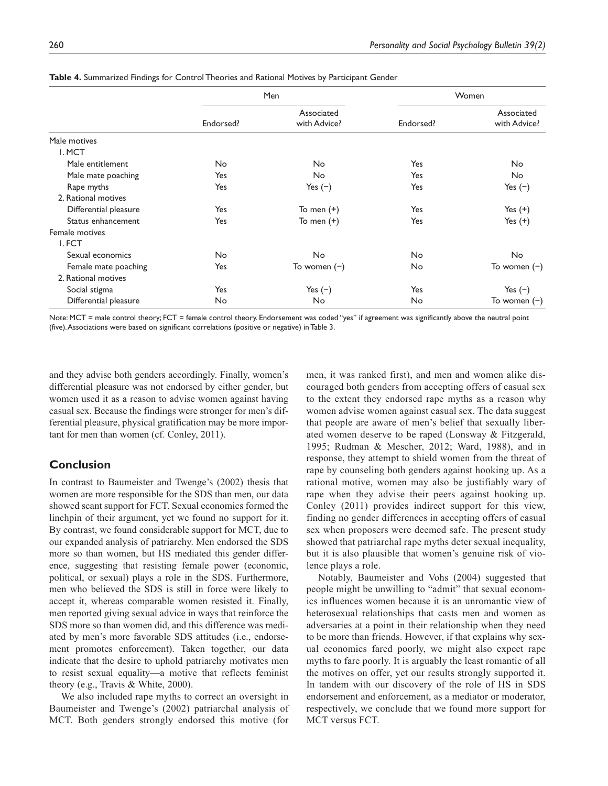|                       | Men       |                            | Women     |                            |
|-----------------------|-----------|----------------------------|-----------|----------------------------|
|                       | Endorsed? | Associated<br>with Advice? | Endorsed? | Associated<br>with Advice? |
| Male motives          |           |                            |           |                            |
| I.MCT                 |           |                            |           |                            |
| Male entitlement      | No        | No.                        | Yes       | No                         |
| Male mate poaching    | Yes       | No                         | Yes       | <b>No</b>                  |
| Rape myths            | Yes       | Yes $(-)$                  | Yes       | Yes $(-)$                  |
| 2. Rational motives   |           |                            |           |                            |
| Differential pleasure | Yes       | To men $(+)$               | Yes       | Yes $(+)$                  |
| Status enhancement    | Yes       | To men $(+)$               | Yes       | Yes $(+)$                  |
| Female motives        |           |                            |           |                            |
| I.FCT                 |           |                            |           |                            |
| Sexual economics      | No        | No                         | No        | No                         |
| Female mate poaching  | Yes       | To women $(-)$             | No        | To women $(-)$             |
| 2. Rational motives   |           |                            |           |                            |
| Social stigma         | Yes       | Yes $(-)$                  | Yes       | Yes $(-)$                  |
| Differential pleasure | No        | No                         | No.       | To women $(-)$             |

**Table 4.** Summarized Findings for Control Theories and Rational Motives by Participant Gender

Note: MCT = male control theory; FCT = female control theory. Endorsement was coded "yes" if agreement was significantly above the neutral point (five). Associations were based on significant correlations (positive or negative) in Table 3.

and they advise both genders accordingly. Finally, women's differential pleasure was not endorsed by either gender, but women used it as a reason to advise women against having casual sex. Because the findings were stronger for men's differential pleasure, physical gratification may be more important for men than women (cf. Conley, 2011).

# **Conclusion**

In contrast to Baumeister and Twenge's (2002) thesis that women are more responsible for the SDS than men, our data showed scant support for FCT. Sexual economics formed the linchpin of their argument, yet we found no support for it. By contrast, we found considerable support for MCT, due to our expanded analysis of patriarchy. Men endorsed the SDS more so than women, but HS mediated this gender difference, suggesting that resisting female power (economic, political, or sexual) plays a role in the SDS. Furthermore, men who believed the SDS is still in force were likely to accept it, whereas comparable women resisted it. Finally, men reported giving sexual advice in ways that reinforce the SDS more so than women did, and this difference was mediated by men's more favorable SDS attitudes (i.e., endorsement promotes enforcement). Taken together, our data indicate that the desire to uphold patriarchy motivates men to resist sexual equality—a motive that reflects feminist theory (e.g., Travis & White, 2000).

We also included rape myths to correct an oversight in Baumeister and Twenge's (2002) patriarchal analysis of MCT. Both genders strongly endorsed this motive (for men, it was ranked first), and men and women alike discouraged both genders from accepting offers of casual sex to the extent they endorsed rape myths as a reason why women advise women against casual sex. The data suggest that people are aware of men's belief that sexually liberated women deserve to be raped (Lonsway & Fitzgerald, 1995; Rudman & Mescher, 2012; Ward, 1988), and in response, they attempt to shield women from the threat of rape by counseling both genders against hooking up. As a rational motive, women may also be justifiably wary of rape when they advise their peers against hooking up. Conley (2011) provides indirect support for this view, finding no gender differences in accepting offers of casual sex when proposers were deemed safe. The present study showed that patriarchal rape myths deter sexual inequality, but it is also plausible that women's genuine risk of violence plays a role.

Notably, Baumeister and Vohs (2004) suggested that people might be unwilling to "admit" that sexual economics influences women because it is an unromantic view of heterosexual relationships that casts men and women as adversaries at a point in their relationship when they need to be more than friends. However, if that explains why sexual economics fared poorly, we might also expect rape myths to fare poorly. It is arguably the least romantic of all the motives on offer, yet our results strongly supported it. In tandem with our discovery of the role of HS in SDS endorsement and enforcement, as a mediator or moderator, respectively, we conclude that we found more support for MCT versus FCT.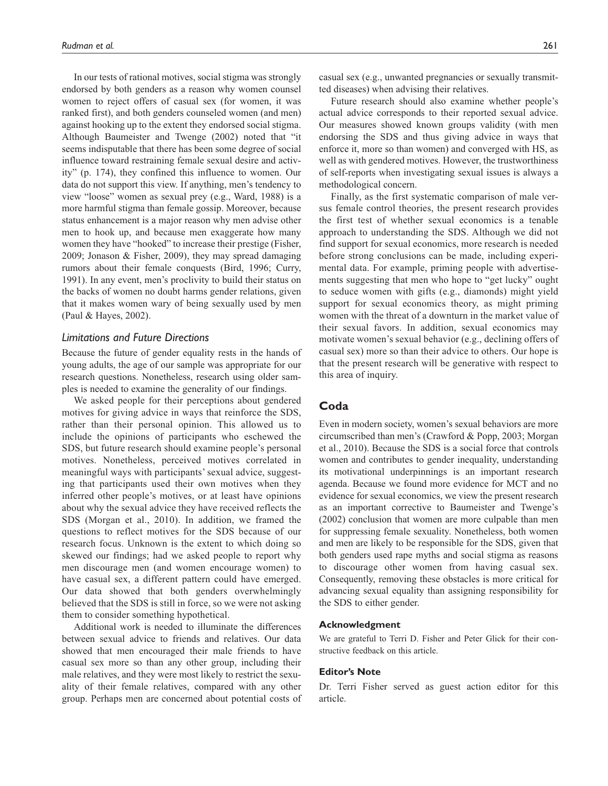In our tests of rational motives, social stigma was strongly endorsed by both genders as a reason why women counsel women to reject offers of casual sex (for women, it was ranked first), and both genders counseled women (and men) against hooking up to the extent they endorsed social stigma. Although Baumeister and Twenge (2002) noted that "it seems indisputable that there has been some degree of social influence toward restraining female sexual desire and activity" (p. 174), they confined this influence to women. Our data do not support this view. If anything, men's tendency to view "loose" women as sexual prey (e.g., Ward, 1988) is a more harmful stigma than female gossip. Moreover, because status enhancement is a major reason why men advise other men to hook up, and because men exaggerate how many women they have "hooked" to increase their prestige (Fisher, 2009; Jonason & Fisher, 2009), they may spread damaging rumors about their female conquests (Bird, 1996; Curry, 1991). In any event, men's proclivity to build their status on the backs of women no doubt harms gender relations, given that it makes women wary of being sexually used by men (Paul & Hayes, 2002).

# *Limitations and Future Directions*

Because the future of gender equality rests in the hands of young adults, the age of our sample was appropriate for our research questions. Nonetheless, research using older samples is needed to examine the generality of our findings.

We asked people for their perceptions about gendered motives for giving advice in ways that reinforce the SDS, rather than their personal opinion. This allowed us to include the opinions of participants who eschewed the SDS, but future research should examine people's personal motives. Nonetheless, perceived motives correlated in meaningful ways with participants' sexual advice, suggesting that participants used their own motives when they inferred other people's motives, or at least have opinions about why the sexual advice they have received reflects the SDS (Morgan et al., 2010). In addition, we framed the questions to reflect motives for the SDS because of our research focus. Unknown is the extent to which doing so skewed our findings; had we asked people to report why men discourage men (and women encourage women) to have casual sex, a different pattern could have emerged. Our data showed that both genders overwhelmingly believed that the SDS is still in force, so we were not asking them to consider something hypothetical.

Additional work is needed to illuminate the differences between sexual advice to friends and relatives. Our data showed that men encouraged their male friends to have casual sex more so than any other group, including their male relatives, and they were most likely to restrict the sexuality of their female relatives, compared with any other group. Perhaps men are concerned about potential costs of casual sex (e.g., unwanted pregnancies or sexually transmitted diseases) when advising their relatives.

Future research should also examine whether people's actual advice corresponds to their reported sexual advice. Our measures showed known groups validity (with men endorsing the SDS and thus giving advice in ways that enforce it, more so than women) and converged with HS, as well as with gendered motives. However, the trustworthiness of self-reports when investigating sexual issues is always a methodological concern.

Finally, as the first systematic comparison of male versus female control theories, the present research provides the first test of whether sexual economics is a tenable approach to understanding the SDS. Although we did not find support for sexual economics, more research is needed before strong conclusions can be made, including experimental data. For example, priming people with advertisements suggesting that men who hope to "get lucky" ought to seduce women with gifts (e.g., diamonds) might yield support for sexual economics theory, as might priming women with the threat of a downturn in the market value of their sexual favors. In addition, sexual economics may motivate women's sexual behavior (e.g., declining offers of casual sex) more so than their advice to others. Our hope is that the present research will be generative with respect to this area of inquiry.

# **Coda**

Even in modern society, women's sexual behaviors are more circumscribed than men's (Crawford & Popp, 2003; Morgan et al., 2010). Because the SDS is a social force that controls women and contributes to gender inequality, understanding its motivational underpinnings is an important research agenda. Because we found more evidence for MCT and no evidence for sexual economics, we view the present research as an important corrective to Baumeister and Twenge's (2002) conclusion that women are more culpable than men for suppressing female sexuality. Nonetheless, both women and men are likely to be responsible for the SDS, given that both genders used rape myths and social stigma as reasons to discourage other women from having casual sex. Consequently, removing these obstacles is more critical for advancing sexual equality than assigning responsibility for the SDS to either gender.

#### **Acknowledgment**

We are grateful to Terri D. Fisher and Peter Glick for their constructive feedback on this article.

#### **Editor's Note**

Dr. Terri Fisher served as guest action editor for this article.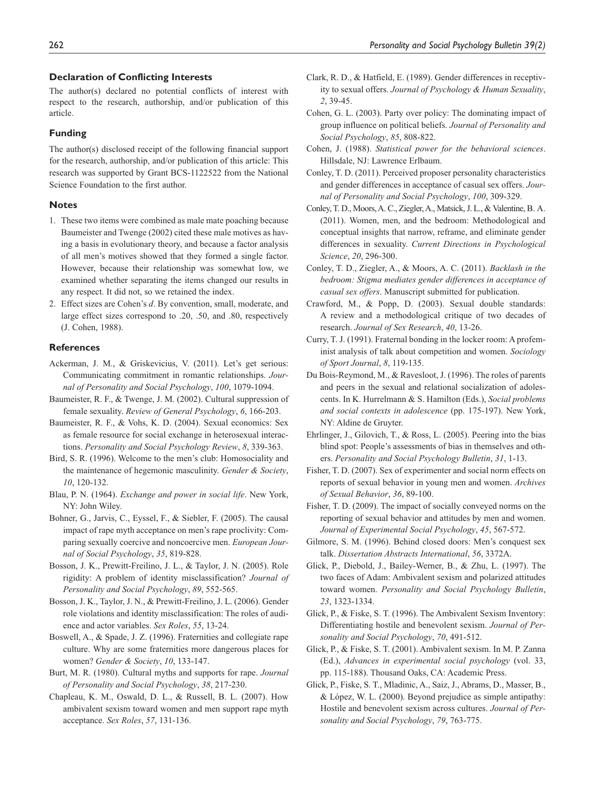#### **Declaration of Conflicting Interests**

The author(s) declared no potential conflicts of interest with respect to the research, authorship, and/or publication of this article.

#### **Funding**

The author(s) disclosed receipt of the following financial support for the research, authorship, and/or publication of this article: This research was supported by Grant BCS-1122522 from the National Science Foundation to the first author.

#### **Notes**

- 1. These two items were combined as male mate poaching because Baumeister and Twenge (2002) cited these male motives as having a basis in evolutionary theory, and because a factor analysis of all men's motives showed that they formed a single factor. However, because their relationship was somewhat low, we examined whether separating the items changed our results in any respect. It did not, so we retained the index.
- 2. Effect sizes are Cohen's *d*. By convention, small, moderate, and large effect sizes correspond to .20, .50, and .80, respectively (J. Cohen, 1988).

#### **References**

- Ackerman, J. M., & Griskevicius, V. (2011). Let's get serious: Communicating commitment in romantic relationships. *Journal of Personality and Social Psychology*, *100*, 1079-1094.
- Baumeister, R. F., & Twenge, J. M. (2002). Cultural suppression of female sexuality. *Review of General Psychology*, *6*, 166-203.
- Baumeister, R. F., & Vohs, K. D. (2004). Sexual economics: Sex as female resource for social exchange in heterosexual interactions. *Personality and Social Psychology Review*, *8*, 339-363.
- Bird, S. R. (1996). Welcome to the men's club: Homosociality and the maintenance of hegemonic masculinity. *Gender & Society*, *10*, 120-132.
- Blau, P. N. (1964). *Exchange and power in social life*. New York, NY: John Wiley.
- Bohner, G., Jarvis, C., Eyssel, F., & Siebler, F. (2005). The causal impact of rape myth acceptance on men's rape proclivity: Comparing sexually coercive and noncoercive men. *European Journal of Social Psychology*, *35*, 819-828.
- Bosson, J. K., Prewitt-Freilino, J. L., & Taylor, J. N. (2005). Role rigidity: A problem of identity misclassification? *Journal of Personality and Social Psychology*, *89*, 552-565.
- Bosson, J. K., Taylor, J. N., & Prewitt-Freilino, J. L. (2006). Gender role violations and identity misclassification: The roles of audience and actor variables. *Sex Roles*, *55*, 13-24.
- Boswell, A., & Spade, J. Z. (1996). Fraternities and collegiate rape culture. Why are some fraternities more dangerous places for women? *Gender & Society*, *10*, 133-147.
- Burt, M. R. (1980). Cultural myths and supports for rape. *Journal of Personality and Social Psychology*, *38*, 217-230.
- Chapleau, K. M., Oswald, D. L., & Russell, B. L. (2007). How ambivalent sexism toward women and men support rape myth acceptance. *Sex Roles*, *57*, 131-136.
- Clark, R. D., & Hatfield, E. (1989). Gender differences in receptivity to sexual offers. *Journal of Psychology & Human Sexuality*, *2*, 39-45.
- Cohen, G. L. (2003). Party over policy: The dominating impact of group influence on political beliefs. *Journal of Personality and Social Psychology*, *85*, 808-822.
- Cohen, J. (1988). *Statistical power for the behavioral sciences*. Hillsdale, NJ: Lawrence Erlbaum.
- Conley, T. D. (2011). Perceived proposer personality characteristics and gender differences in acceptance of casual sex offers. *Journal of Personality and Social Psychology*, *100*, 309-329.
- Conley, T. D., Moors, A. C., Ziegler, A., Matsick, J. L., & Valentine, B. A. (2011). Women, men, and the bedroom: Methodological and conceptual insights that narrow, reframe, and eliminate gender differences in sexuality. *Current Directions in Psychological Science*, *20*, 296-300.
- Conley, T. D., Ziegler, A., & Moors, A. C. (2011). *Backlash in the bedroom: Stigma mediates gender differences in acceptance of casual sex offers*. Manuscript submitted for publication.
- Crawford, M., & Popp, D. (2003). Sexual double standards: A review and a methodological critique of two decades of research. *Journal of Sex Research*, *40*, 13-26.
- Curry, T. J. (1991). Fraternal bonding in the locker room: A profeminist analysis of talk about competition and women. *Sociology of Sport Journal*, *8*, 119-135.
- Du Bois-Reymond, M., & Ravesloot, J. (1996). The roles of parents and peers in the sexual and relational socialization of adolescents. In K. Hurrelmann & S. Hamilton (Eds.), *Social problems and social contexts in adolescence* (pp. 175-197). New York, NY: Aldine de Gruyter.
- Ehrlinger, J., Gilovich, T., & Ross, L. (2005). Peering into the bias blind spot: People's assessments of bias in themselves and others. *Personality and Social Psychology Bulletin*, *31*, 1-13.
- Fisher, T. D. (2007). Sex of experimenter and social norm effects on reports of sexual behavior in young men and women. *Archives of Sexual Behavior*, *36*, 89-100.
- Fisher, T. D. (2009). The impact of socially conveyed norms on the reporting of sexual behavior and attitudes by men and women. *Journal of Experimental Social Psychology*, *45*, 567-572.
- Gilmore, S. M. (1996). Behind closed doors: Men's conquest sex talk. *Dissertation Abstracts International*, *56*, 3372A.
- Glick, P., Diebold, J., Bailey-Werner, B., & Zhu, L. (1997). The two faces of Adam: Ambivalent sexism and polarized attitudes toward women. *Personality and Social Psychology Bulletin*, *23*, 1323-1334.
- Glick, P., & Fiske, S. T. (1996). The Ambivalent Sexism Inventory: Differentiating hostile and benevolent sexism. *Journal of Personality and Social Psychology*, *70*, 491-512.
- Glick, P., & Fiske, S. T. (2001). Ambivalent sexism. In M. P. Zanna (Ed.), *Advances in experimental social psychology* (vol. 33, pp. 115-188). Thousand Oaks, CA: Academic Press.
- Glick, P., Fiske, S. T., Mladinic, A., Saiz, J., Abrams, D., Masser, B., & López, W. L. (2000). Beyond prejudice as simple antipathy: Hostile and benevolent sexism across cultures. *Journal of Personality and Social Psychology*, *79*, 763-775.